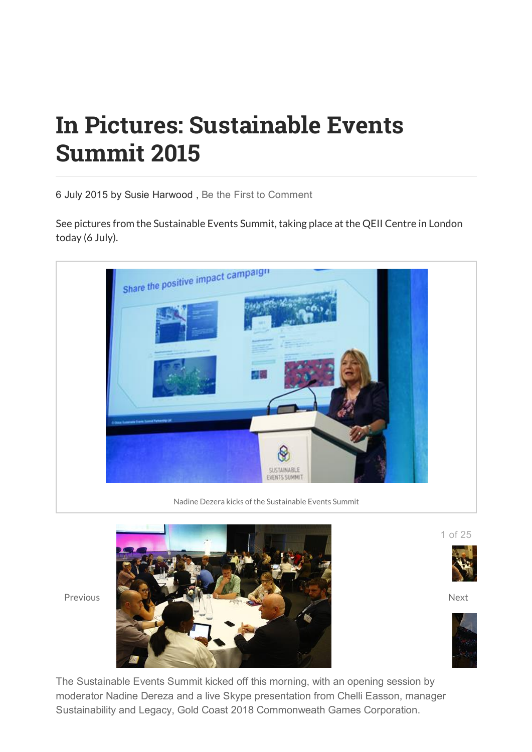## In Pictures: Sustainable Events Summit 2015

6 July 2015 by Susie Harwood , Be the First to Comment

See pictures from the Sustainable Events Summit, taking place at the QEII Centre in London today (6 July).



Nadine Dezera kicks of the Sustainable Events Summit





The Sustainable Events Summit kicked off this morning, with an opening session by moderator Nadine Dereza and a live Skype presentation from Chelli Easson, manager Sustainability and Legacy, Gold Coast 2018 Commonweath Games Corporation.

1 of 25